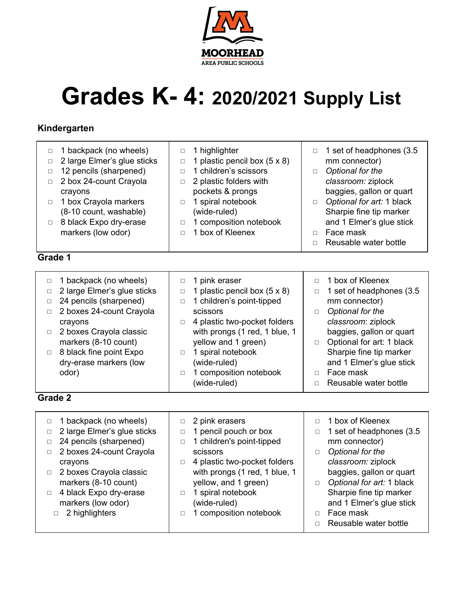

# **Grades K- 4: 2020/2021 Supply List**

### **Kindergarten**

| 1 backpack (no wheels)<br>$\Box$<br>2 large Elmer's glue sticks<br>□<br>12 pencils (sharpened)<br>□<br>2 box 24-count Crayola<br>$\Box$<br>crayons<br>1 box Crayola markers<br>$\Box$<br>(8-10 count, washable)<br>8 black Expo dry-erase<br>$\Box$<br>markers (low odor) | 1 highlighter<br>$\Box$<br>1 plastic pencil box $(5 \times 8)$<br>$\Box$<br>1 children's scissors<br>$\Box$<br>2 plastic folders with<br>$\Box$<br>pockets & prongs<br>1 spiral notebook<br>$\Box$<br>(wide-ruled)<br>1 composition notebook<br>$\Box$<br>1 box of Kleenex<br>$\Box$ | 1 set of headphones (3.5)<br>$\Box$<br>mm connector)<br>Optional for the<br>$\Box$<br>classroom: ziplock<br>baggies, gallon or quart<br>Optional for art: 1 black<br>$\Box$<br>Sharpie fine tip marker<br>and 1 Elmer's glue stick<br>Face mask<br>$\Box$<br>Reusable water bottle<br>П |
|---------------------------------------------------------------------------------------------------------------------------------------------------------------------------------------------------------------------------------------------------------------------------|--------------------------------------------------------------------------------------------------------------------------------------------------------------------------------------------------------------------------------------------------------------------------------------|-----------------------------------------------------------------------------------------------------------------------------------------------------------------------------------------------------------------------------------------------------------------------------------------|
| Grade 1                                                                                                                                                                                                                                                                   |                                                                                                                                                                                                                                                                                      |                                                                                                                                                                                                                                                                                         |
| 1 backpack (no wheels)<br>□<br>2 lorge Elmer's alus stieks                                                                                                                                                                                                                | 1 pink eraser<br>$\Box$<br>$\frac{1}{2}$ plastic popullar $\sqrt{5}$ v 0)                                                                                                                                                                                                            | 1 box of Kleenex<br>п<br>$1$ oot of boodsbones $(2)$                                                                                                                                                                                                                                    |

| $\Box$ | 1 backpack (no wheels)         | $\Box$ | 1 pink eraser                       |        | 1 box of Kleenex          |
|--------|--------------------------------|--------|-------------------------------------|--------|---------------------------|
| $\Box$ | 2 large Elmer's glue sticks    | $\Box$ | 1 plastic pencil box $(5 \times 8)$ |        | 1 set of headphones (3.5  |
|        | 24 pencils (sharpened)         | $\Box$ | 1 children's point-tipped           |        | mm connector)             |
| $\Box$ | 2 boxes 24-count Crayola       |        | scissors                            | $\Box$ | Optional for the          |
|        | crayons                        | $\Box$ | 4 plastic two-pocket folders        |        | classroom: ziplock        |
|        | $\Box$ 2 boxes Crayola classic |        | with prongs (1 red, 1 blue, 1       |        | baggies, gallon or quart  |
|        | markers (8-10 count)           |        | yellow and 1 green)                 | $\Box$ | Optional for art: 1 black |
| $\Box$ | 8 black fine point Expo        | $\Box$ | 1 spiral notebook                   |        | Sharpie fine tip marker   |
|        | dry-erase markers (low         |        | (wide-ruled)                        |        | and 1 Elmer's glue stick  |
|        | odor)                          | $\Box$ | 1 composition notebook              |        | Face mask                 |
|        |                                |        | (wide-ruled)                        |        | Reusable water bottle     |
|        |                                |        |                                     |        |                           |

#### **Grade 2**

| 1 backpack (no wheels)<br>$\Box$<br>2 large Elmer's glue sticks<br>$\Box$<br>24 pencils (sharpened)<br>$\Box$<br>2 boxes 24-count Crayola<br>$\Box$<br>crayons<br>□ 2 boxes Crayola classic<br>markers (8-10 count)<br>4 black Expo dry-erase<br>$\Box$<br>markers (low odor)<br>2 highlighters | 2 pink erasers<br>$\Box$<br>1 pencil pouch or box<br>$\Box$<br>1 children's point-tipped<br>$\Box$<br>scissors<br>4 plastic two-pocket folders<br>□<br>with prongs (1 red, 1 blue, 1<br>yellow, and 1 green)<br>1 spiral notebook<br>$\Box$<br>(wide-ruled)<br>1 composition notebook<br>$\Box$ | 1 box of Kleenex<br>1 set of headphones (3.5<br>$\Box$<br>mm connector)<br>Optional for the<br>□<br>classroom: ziplock<br>baggies, gallon or quart<br>Optional for art: 1 black<br>$\Box$<br>Sharpie fine tip marker<br>and 1 Elmer's glue stick<br>Face mask<br>$\Box$<br>Reusable water bottle |
|-------------------------------------------------------------------------------------------------------------------------------------------------------------------------------------------------------------------------------------------------------------------------------------------------|-------------------------------------------------------------------------------------------------------------------------------------------------------------------------------------------------------------------------------------------------------------------------------------------------|--------------------------------------------------------------------------------------------------------------------------------------------------------------------------------------------------------------------------------------------------------------------------------------------------|
|-------------------------------------------------------------------------------------------------------------------------------------------------------------------------------------------------------------------------------------------------------------------------------------------------|-------------------------------------------------------------------------------------------------------------------------------------------------------------------------------------------------------------------------------------------------------------------------------------------------|--------------------------------------------------------------------------------------------------------------------------------------------------------------------------------------------------------------------------------------------------------------------------------------------------|